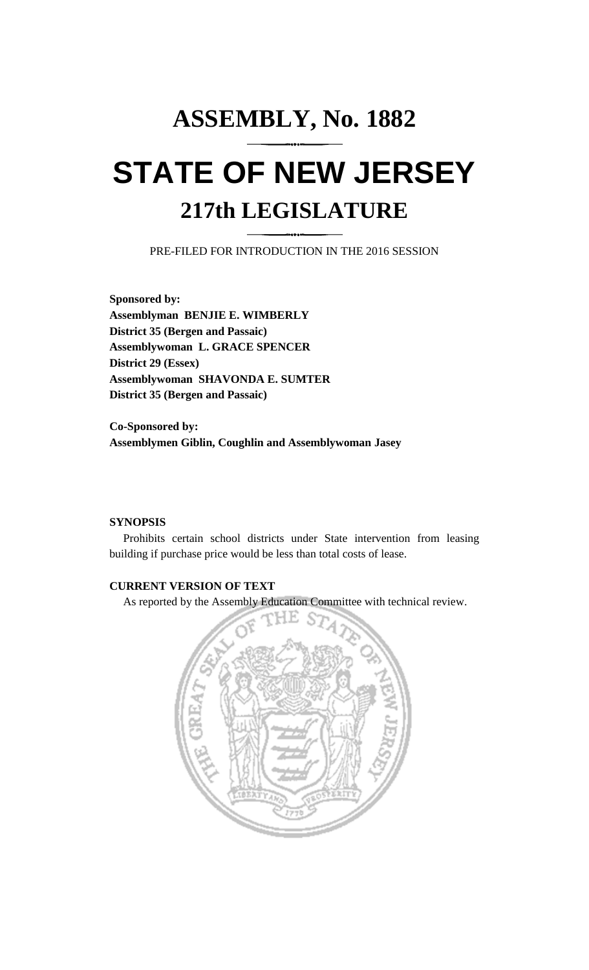## **ASSEMBLY, No. 1882 STATE OF NEW JERSEY 217th LEGISLATURE**

PRE-FILED FOR INTRODUCTION IN THE 2016 SESSION

**Sponsored by: Assemblyman BENJIE E. WIMBERLY District 35 (Bergen and Passaic) Assemblywoman L. GRACE SPENCER District 29 (Essex) Assemblywoman SHAVONDA E. SUMTER District 35 (Bergen and Passaic)**

**Co-Sponsored by: Assemblymen Giblin, Coughlin and Assemblywoman Jasey**

## **SYNOPSIS**

Prohibits certain school districts under State intervention from leasing building if purchase price would be less than total costs of lease.

## **CURRENT VERSION OF TEXT**

As reported by the Assembly Education Committee with technical review.